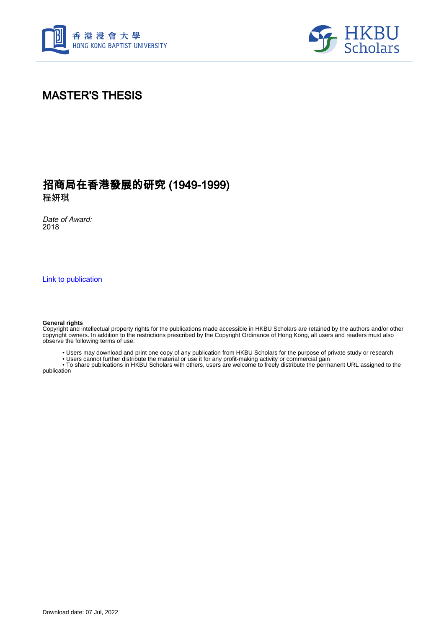



# MASTER'S THESIS

# 招商局在香港發展的研究 (1949-1999)

程妍琪

Date of Award: 2018

[Link to publication](https://scholars.hkbu.edu.hk/en/studentTheses/5ae7c59d-67db-4bd2-919e-2bd60a4c1ca9)

#### **General rights**

Copyright and intellectual property rights for the publications made accessible in HKBU Scholars are retained by the authors and/or other copyright owners. In addition to the restrictions prescribed by the Copyright Ordinance of Hong Kong, all users and readers must also observe the following terms of use:

• Users may download and print one copy of any publication from HKBU Scholars for the purpose of private study or research

• Users cannot further distribute the material or use it for any profit-making activity or commercial gain

 • To share publications in HKBU Scholars with others, users are welcome to freely distribute the permanent URL assigned to the publication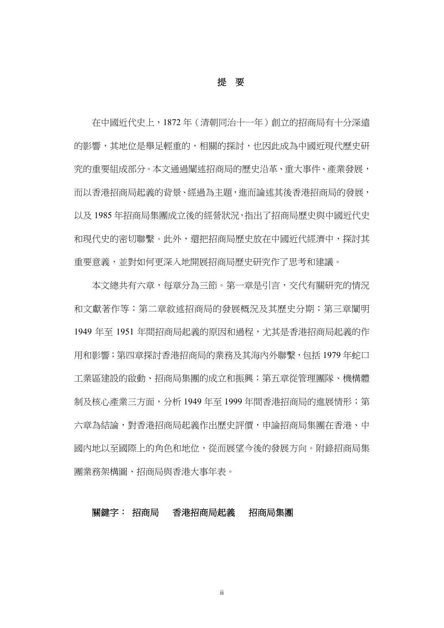提要

在中國近代史上,1872 年(清朝同治十一年)創立的招商局有十分深遠 的影響,其地位是舉足輕重的,相關的探討,也因此成為中國近現代歷史研 究的重要組成部分。本文通過闡述招商局的歷史沿革、重大事件、產業發展, 而以香港招商局起義的背景、經過為主題,進而論述其後香港招商局的發展, 以及 1985 年招商局集團成立後的經營狀況,指出了招商局歷史與中國近代史 和現代史的密切聯繫。此外,還把招商局歷史放在中國近代經濟中,探討其 重要意義,並對如何更深入地開展招商局歷史研究作了思考和建議。

本文總共有六章,每章分為三節。第一章是引言,交代有關研究的情況 和文獻著作等;第二章敘述招商局的發展概況及其歷史分期;第三章闡明 1949年至 1951年間招商局起義的原因和過程,尤其是香港招商局起義的作 用和影響;第四章探討香港招商局的業務及其海內外聯繫,包括 1979 年蛇口 工業區建設的啟動、招商局集團的成立和振興;第五章從管理團隊、機構體 制及核心產業三方面,分析 1949 年至 1999 年間香港招商局的進展情形;第 六章為結論,對香港招商局起義作出歷史評價,申論招商局集團在香港、中 國內地以至國際上的角色和地位,從而展望今後的發展方向。附錄招商局集 團業務架構圖、招商局與香港大事年表。

### 關鍵字: 招商局香港招商局起義招商局集團

ii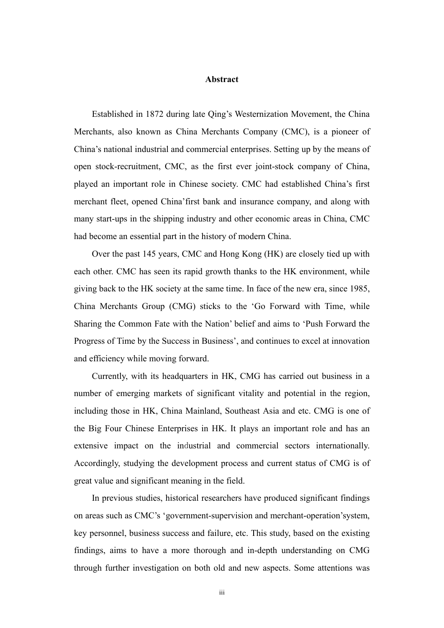#### **Abstract**

 Established in 1872 during late Qing's Westernization Movement, the China Merchants, also known as China Merchants Company (CMC), is a pioneer of China's national industrial and commercial enterprises. Setting up by the means of open stock-recruitment, CMC, as the first ever joint-stock company of China, played an important role in Chinese society. CMC had established China's first merchant fleet, opened China'first bank and insurance company, and along with many start-ups in the shipping industry and other economic areas in China, CMC had become an essential part in the history of modern China.

 Over the past 145 years, CMC and Hong Kong (HK) are closely tied up with each other. CMC has seen its rapid growth thanks to the HK environment, while giving back to the HK society at the same time. In face of the new era, since 1985, China Merchants Group (CMG) sticks to the 'Go Forward with Time, while Sharing the Common Fate with the Nation' belief and aims to 'Push Forward the Progress of Time by the Success in Business', and continues to excel at innovation and efficiency while moving forward.

 Currently, with its headquarters in HK, CMG has carried out business in a number of emerging markets of significant vitality and potential in the region, including those in HK, China Mainland, Southeast Asia and etc. CMG is one of the Big Four Chinese Enterprises in HK. It plays an important role and has an extensive impact on the industrial and commercial sectors internationally. Accordingly, studying the development process and current status of CMG is of great value and significant meaning in the field.

 In previous studies, historical researchers have produced significant findings on areas such as CMC's 'government-supervision and merchant-operation'system, key personnel, business success and failure, etc. This study, based on the existing findings, aims to have a more thorough and in-depth understanding on CMG through further investigation on both old and new aspects. Some attentions was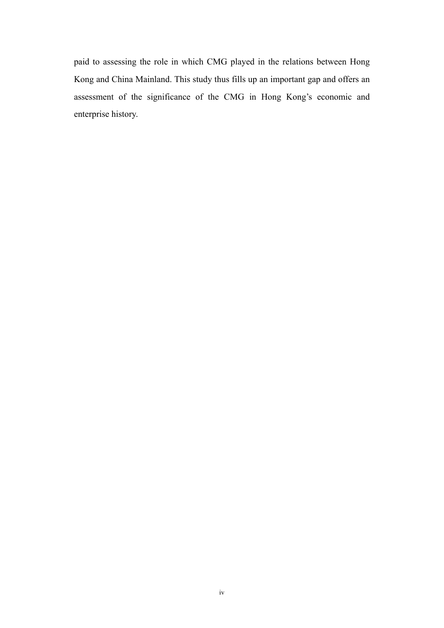paid to assessing the role in which CMG played in the relations between Hong Kong and China Mainland. This study thus fills up an important gap and offers an assessment of the significance of the CMG in Hong Kong's economic and enterprise history.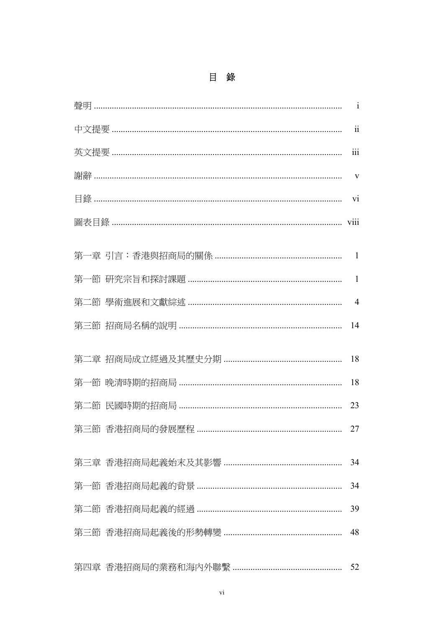| $\mathbf{1}$   |
|----------------|
| $\rm ii$       |
| 111            |
| V              |
| vi             |
| viii           |
| 1              |
| 1              |
| $\overline{4}$ |
| 14             |
| 18             |
| 18             |
| 23             |
| 27             |
| 34             |
| 34             |
| 39             |
| 48             |
| 52             |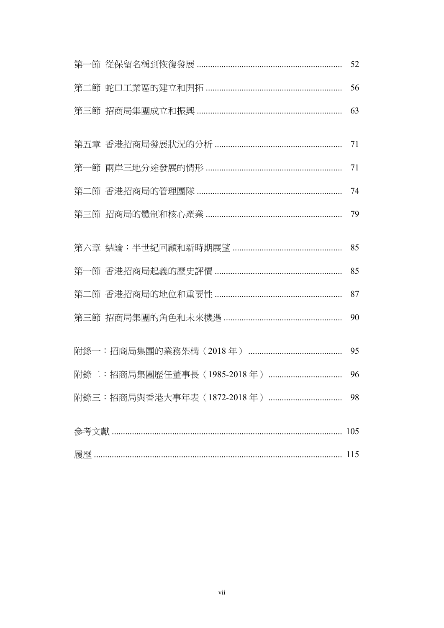|  | 52 |
|--|----|
|  | 56 |
|  | 63 |
|  | 71 |
|  | 71 |
|  | 74 |
|  | 79 |
|  | 85 |
|  | 85 |
|  | 87 |
|  | 90 |
|  | 95 |
|  | 96 |
|  |    |
|  |    |
|  |    |